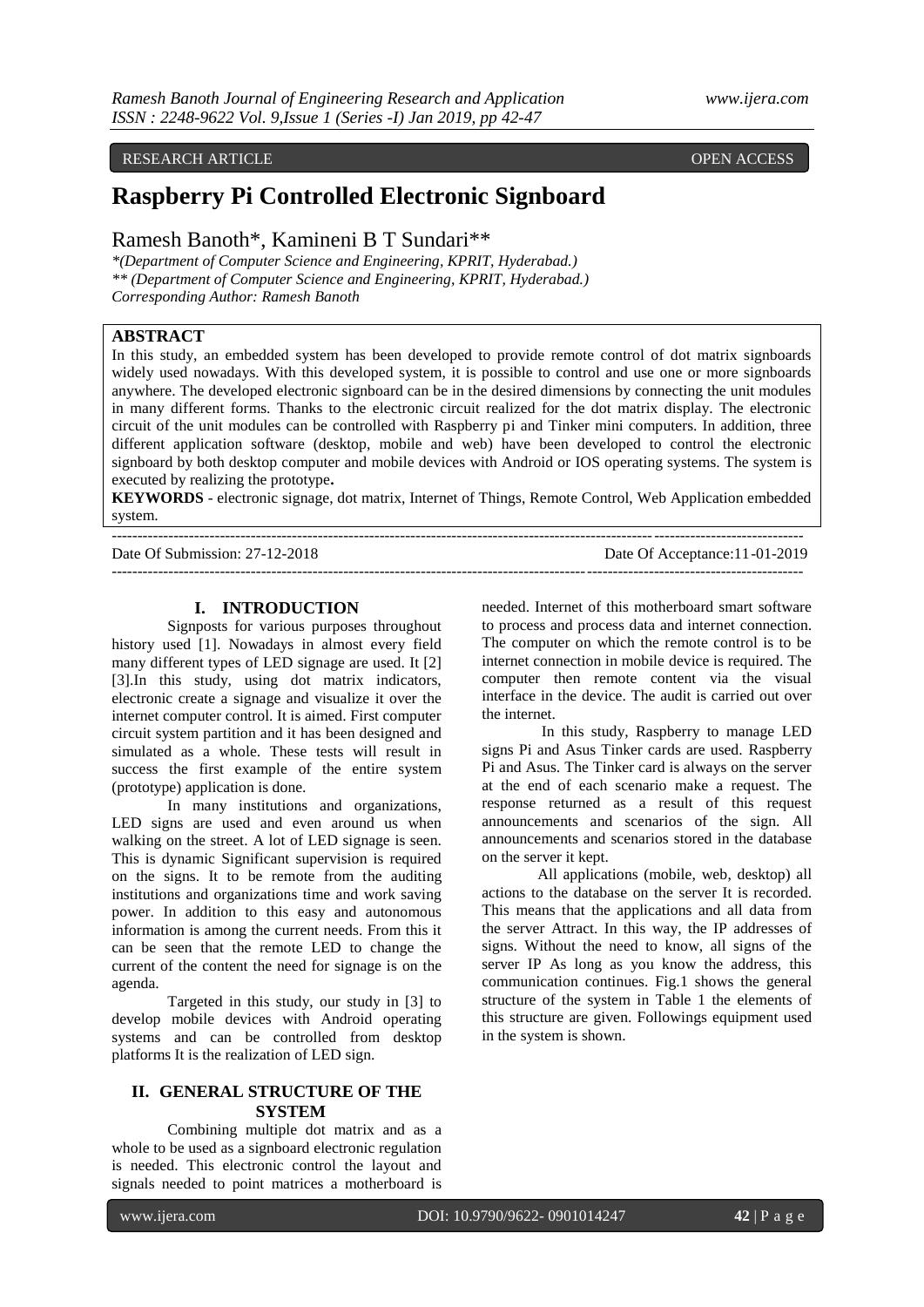# RESEARCH ARTICLE **OPEN ACCESS**

# **Raspberry Pi Controlled Electronic Signboard**

# Ramesh Banoth\*, Kamineni B T Sundari\*\*

*\*(Department of Computer Science and Engineering, KPRIT, Hyderabad.) \*\* (Department of Computer Science and Engineering, KPRIT, Hyderabad.) Corresponding Author: Ramesh Banoth*

# **ABSTRACT**

In this study, an embedded system has been developed to provide remote control of dot matrix signboards widely used nowadays. With this developed system, it is possible to control and use one or more signboards anywhere. The developed electronic signboard can be in the desired dimensions by connecting the unit modules in many different forms. Thanks to the electronic circuit realized for the dot matrix display. The electronic circuit of the unit modules can be controlled with Raspberry pi and Tinker mini computers. In addition, three different application software (desktop, mobile and web) have been developed to control the electronic signboard by both desktop computer and mobile devices with Android or IOS operating systems. The system is executed by realizing the prototype**.**

**KEYWORDS** - electronic signage, dot matrix, Internet of Things, Remote Control, Web Application embedded system.

| Date Of Submission: 27-12-2018 | Date Of Acceptance: 11-01-2019 |
|--------------------------------|--------------------------------|
|                                |                                |

### **I. INTRODUCTION**

Signposts for various purposes throughout history used [1]. Nowadays in almost every field many different types of LED signage are used. It [2] [3].In this study, using dot matrix indicators, electronic create a signage and visualize it over the internet computer control. It is aimed. First computer circuit system partition and it has been designed and simulated as a whole. These tests will result in success the first example of the entire system (prototype) application is done.

In many institutions and organizations, LED signs are used and even around us when walking on the street. A lot of LED signage is seen. This is dynamic Significant supervision is required on the signs. It to be remote from the auditing institutions and organizations time and work saving power. In addition to this easy and autonomous information is among the current needs. From this it can be seen that the remote LED to change the current of the content the need for signage is on the agenda.

Targeted in this study, our study in [3] to develop mobile devices with Android operating systems and can be controlled from desktop platforms It is the realization of LED sign.

# **II. GENERAL STRUCTURE OF THE SYSTEM**

Combining multiple dot matrix and as a whole to be used as a signboard electronic regulation is needed. This electronic control the layout and signals needed to point matrices a motherboard is

needed. Internet of this motherboard smart software to process and process data and internet connection. The computer on which the remote control is to be internet connection in mobile device is required. The computer then remote content via the visual interface in the device. The audit is carried out over the internet.

In this study, Raspberry to manage LED signs Pi and Asus Tinker cards are used. Raspberry Pi and Asus. The Tinker card is always on the server at the end of each scenario make a request. The response returned as a result of this request announcements and scenarios of the sign. All announcements and scenarios stored in the database on the server it kept.

All applications (mobile, web, desktop) all actions to the database on the server It is recorded. This means that the applications and all data from the server Attract. In this way, the IP addresses of signs. Without the need to know, all signs of the server IP As long as you know the address, this communication continues. Fig.1 shows the general structure of the system in Table 1 the elements of this structure are given. Followings equipment used in the system is shown.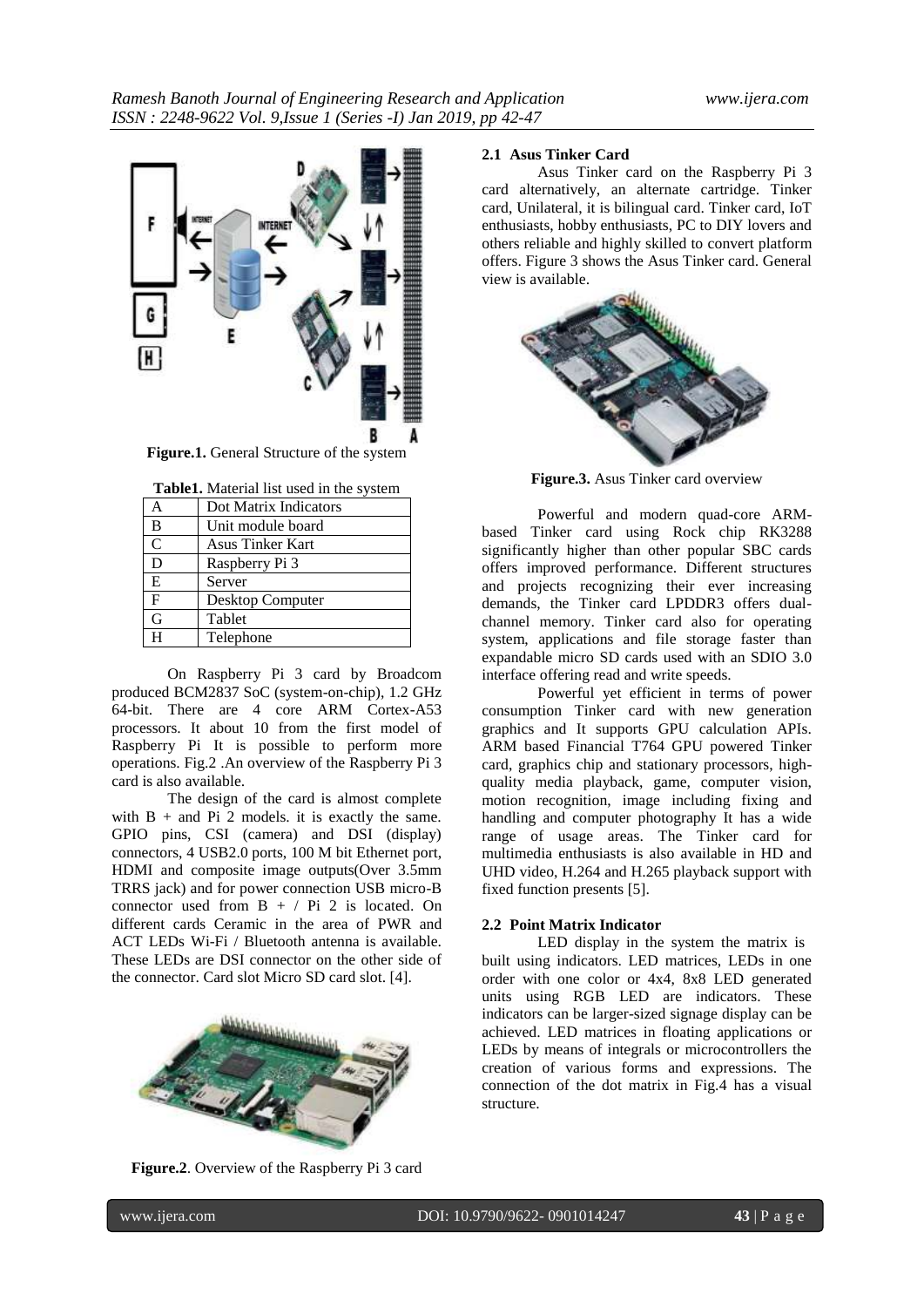

**Table1.** Material list used in the system

| Dot Matrix Indicators   |
|-------------------------|
| Unit module board       |
| <b>Asus Tinker Kart</b> |
| Raspberry Pi 3          |
| Server                  |
| Desktop Computer        |
| Tablet                  |
| Telephone               |
|                         |

On Raspberry Pi 3 card by Broadcom produced BCM2837 SoC (system-on-chip), 1.2 GHz 64-bit. There are 4 core ARM Cortex-A53 processors. It about 10 from the first model of Raspberry Pi It is possible to perform more operations. Fig.2 .An overview of the Raspberry Pi 3 card is also available.

The design of the card is almost complete with  $B +$  and Pi 2 models. it is exactly the same. GPIO pins, CSI (camera) and DSI (display) connectors, 4 USB2.0 ports, 100 M bit Ethernet port, HDMI and composite image outputs(Over 3.5mm TRRS jack) and for power connection USB micro-B connector used from  $B + / Pi 2$  is located. On different cards Ceramic in the area of PWR and ACT LEDs Wi-Fi / Bluetooth antenna is available. These LEDs are DSI connector on the other side of the connector. Card slot Micro SD card slot. [4].



**Figure.2**. Overview of the Raspberry Pi 3 card

# **2.1 Asus Tinker Card**

Asus Tinker card on the Raspberry Pi 3 card alternatively, an alternate cartridge. Tinker card, Unilateral, it is bilingual card. Tinker card, IoT enthusiasts, hobby enthusiasts, PC to DIY lovers and others reliable and highly skilled to convert platform offers. Figure 3 shows the Asus Tinker card. General view is available.



**Figure.3.** Asus Tinker card overview

Powerful and modern quad-core ARMbased Tinker card using Rock chip RK3288 significantly higher than other popular SBC cards offers improved performance. Different structures and projects recognizing their ever increasing demands, the Tinker card LPDDR3 offers dualchannel memory. Tinker card also for operating system, applications and file storage faster than expandable micro SD cards used with an SDIO 3.0 interface offering read and write speeds.

Powerful yet efficient in terms of power consumption Tinker card with new generation graphics and It supports GPU calculation APIs. ARM based Financial T764 GPU powered Tinker card, graphics chip and stationary processors, highquality media playback, game, computer vision, motion recognition, image including fixing and handling and computer photography It has a wide range of usage areas. The Tinker card for multimedia enthusiasts is also available in HD and UHD video, H.264 and H.265 playback support with fixed function presents [5].

### **2.2 Point Matrix Indicator**

LED display in the system the matrix is built using indicators. LED matrices, LEDs in one order with one color or 4x4, 8x8 LED generated units using RGB LED are indicators. These indicators can be larger-sized signage display can be achieved. LED matrices in floating applications or LEDs by means of integrals or microcontrollers the creation of various forms and expressions. The connection of the dot matrix in Fig.4 has a visual structure.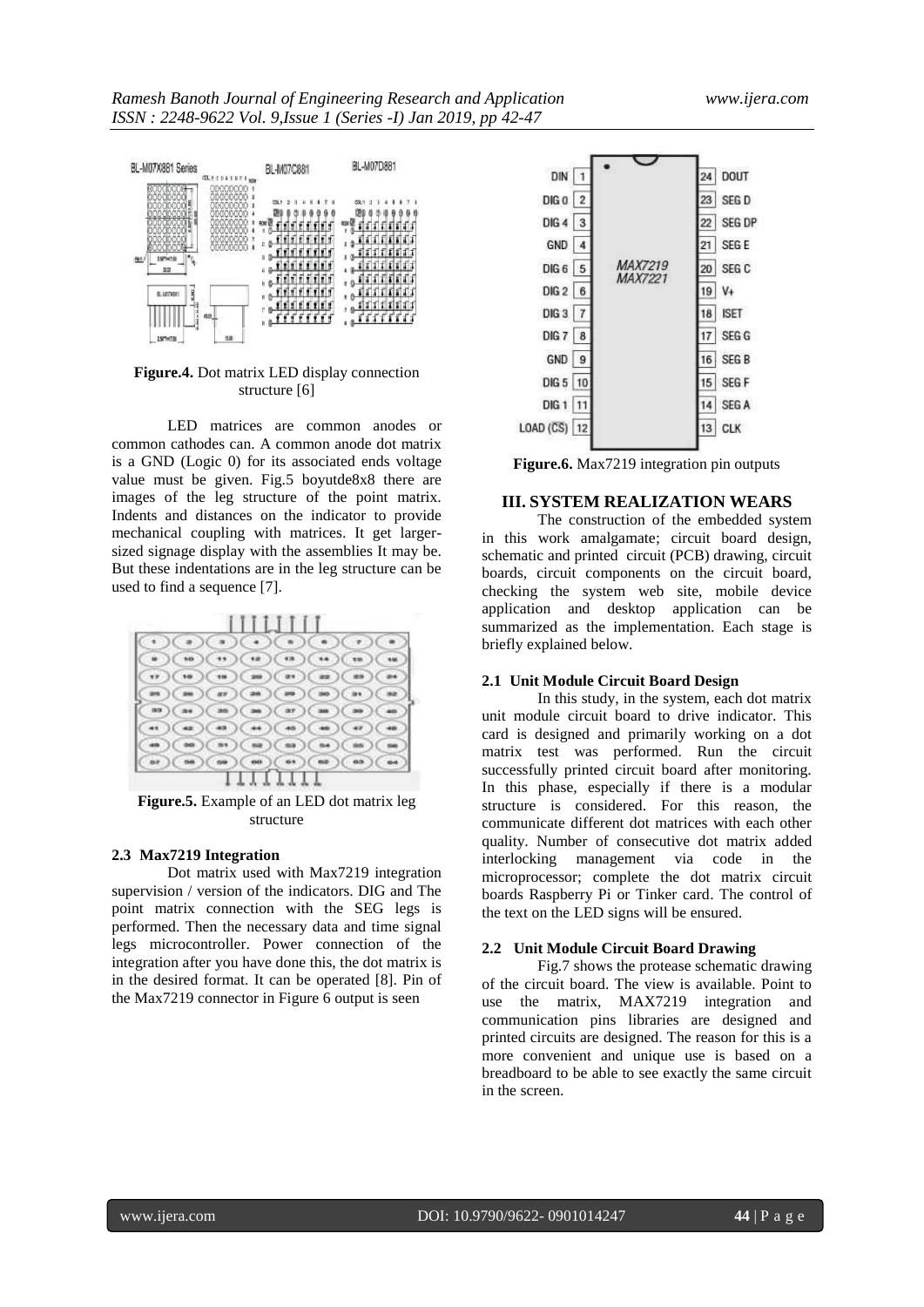

**Figure.4.** Dot matrix LED display connection structure [6]

LED matrices are common anodes or common cathodes can. A common anode dot matrix is a GND (Logic 0) for its associated ends voltage value must be given. Fig.5 boyutde8x8 there are images of the leg structure of the point matrix. Indents and distances on the indicator to provide mechanical coupling with matrices. It get largersized signage display with the assemblies It may be. But these indentations are in the leg structure can be used to find a sequence [7].



**Figure.5.** Example of an LED dot matrix leg structure

#### **2.3 Max7219 Integration**

Dot matrix used with Max7219 integration supervision / version of the indicators. DIG and The point matrix connection with the SEG legs is performed. Then the necessary data and time signal legs microcontroller. Power connection of the integration after you have done this, the dot matrix is in the desired format. It can be operated [8]. Pin of the Max7219 connector in Figure 6 output is seen



**Figure.6.** Max7219 integration pin outputs

# **III. SYSTEM REALIZATION WEARS**

The construction of the embedded system in this work amalgamate; circuit board design, schematic and printed circuit (PCB) drawing, circuit boards, circuit components on the circuit board, checking the system web site, mobile device application and desktop application can be summarized as the implementation. Each stage is briefly explained below.

### **2.1 Unit Module Circuit Board Design**

In this study, in the system, each dot matrix unit module circuit board to drive indicator. This card is designed and primarily working on a dot matrix test was performed. Run the circuit successfully printed circuit board after monitoring. In this phase, especially if there is a modular structure is considered. For this reason, the communicate different dot matrices with each other quality. Number of consecutive dot matrix added interlocking management via code in the microprocessor; complete the dot matrix circuit boards Raspberry Pi or Tinker card. The control of the text on the LED signs will be ensured.

#### **2.2 Unit Module Circuit Board Drawing**

Fig.7 shows the protease schematic drawing of the circuit board. The view is available. Point to use the matrix, MAX7219 integration and communication pins libraries are designed and printed circuits are designed. The reason for this is a more convenient and unique use is based on a breadboard to be able to see exactly the same circuit in the screen.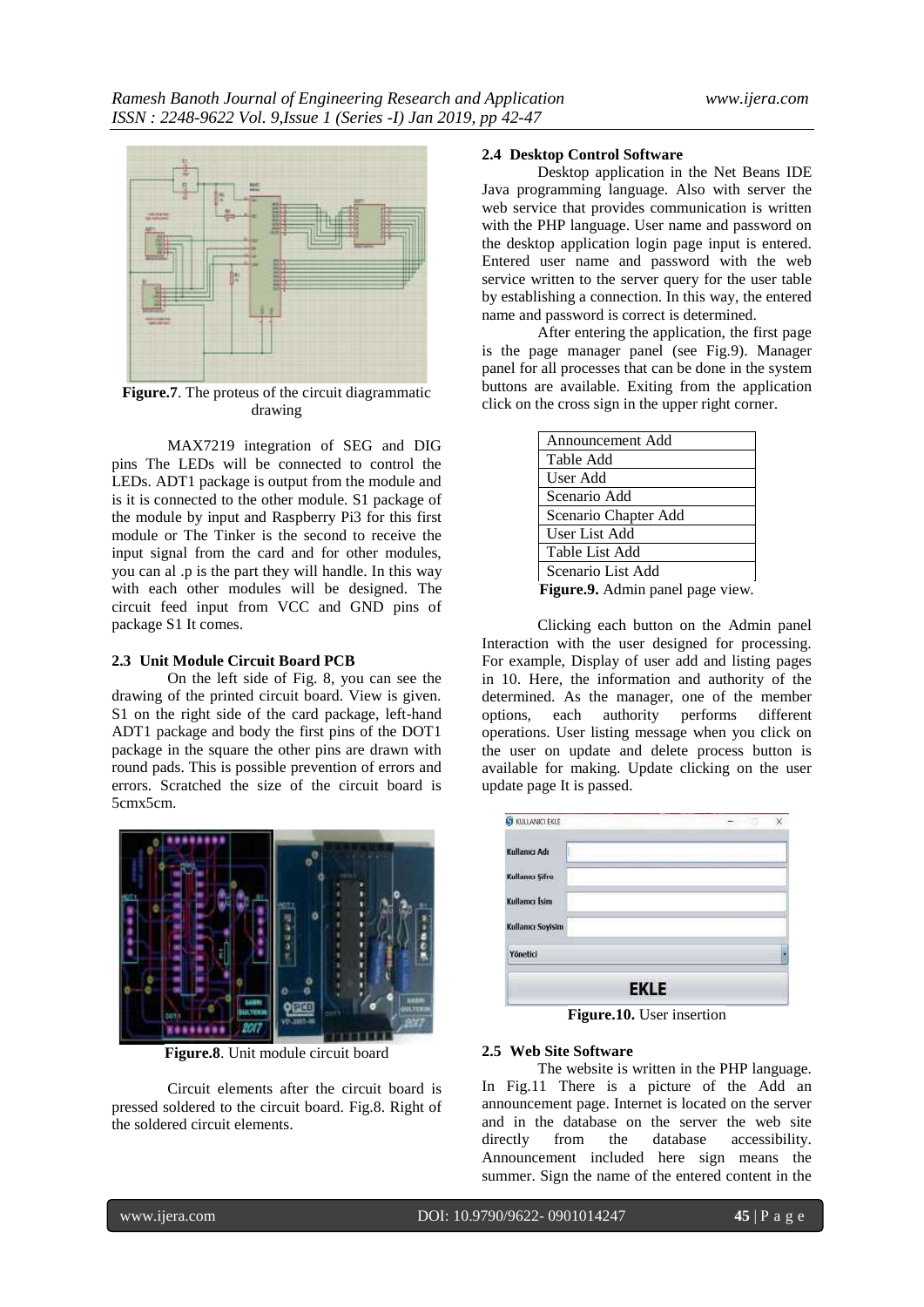

**Figure.7**. The proteus of the circuit diagrammatic drawing

MAX7219 integration of SEG and DIG pins The LEDs will be connected to control the LEDs. ADT1 package is output from the module and is it is connected to the other module. S1 package of the module by input and Raspberry Pi3 for this first module or The Tinker is the second to receive the input signal from the card and for other modules, you can al .p is the part they will handle. In this way with each other modules will be designed. The circuit feed input from VCC and GND pins of package S1 It comes.

### **2.3 Unit Module Circuit Board PCB**

On the left side of Fig. 8, you can see the drawing of the printed circuit board. View is given. S1 on the right side of the card package, left-hand ADT1 package and body the first pins of the DOT1 package in the square the other pins are drawn with round pads. This is possible prevention of errors and errors. Scratched the size of the circuit board is 5cmx5cm.



**Figure.8**. Unit module circuit board

Circuit elements after the circuit board is pressed soldered to the circuit board. Fig.8. Right of the soldered circuit elements.

# **2.4 Desktop Control Software**

Desktop application in the Net Beans IDE Java programming language. Also with server the web service that provides communication is written with the PHP language. User name and password on the desktop application login page input is entered. Entered user name and password with the web service written to the server query for the user table by establishing a connection. In this way, the entered name and password is correct is determined.

After entering the application, the first page is the page manager panel (see Fig.9). Manager panel for all processes that can be done in the system buttons are available. Exiting from the application click on the cross sign in the upper right corner.

| Announcement Add                           |
|--------------------------------------------|
| Table Add                                  |
| User Add                                   |
| Scenario Add                               |
| Scenario Chapter Add                       |
| User List Add                              |
| Table List Add                             |
| Scenario List Add                          |
| $\Gamma$ igung $0$ , Admin nonol naga viaw |

**Figure.9.** Admin panel page view.

Clicking each button on the Admin panel Interaction with the user designed for processing. For example, Display of user add and listing pages in 10. Here, the information and authority of the determined. As the manager, one of the member options, each authority performs different operations. User listing message when you click on the user on update and delete process button is available for making. Update clicking on the user update page It is passed.

|           | in a |
|-----------|------|
|           |      |
| $\cdot$ . |      |

**Figure.10.** User insertion

### **2.5 Web Site Software**

The website is written in the PHP language. In Fig.11 There is a picture of the Add an announcement page. Internet is located on the server and in the database on the server the web site directly from the database accessibility. Announcement included here sign means the summer. Sign the name of the entered content in the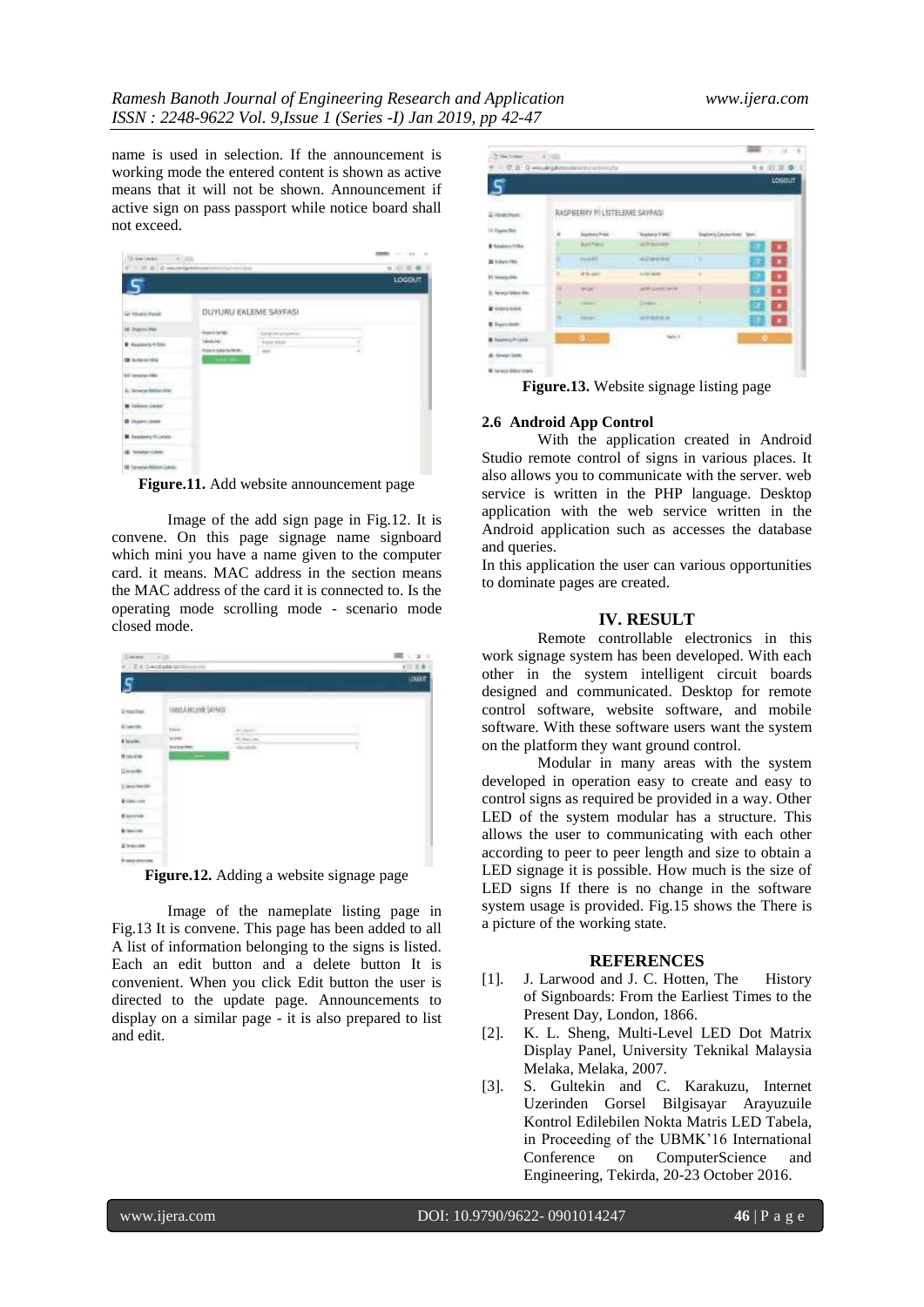name is used in selection. If the announcement is working mode the entered content is shown as active means that it will not be shown. Announcement if active sign on pass passport while notice board shall not exceed.

| TE-SAFERAN- 1. 9-1.000<br>$\theta = -\Omega \cdot \theta \mid \mathcal{L} \text{ associated with } \alpha \in \mathbb{N}$ |                                   | m                                    |         | THE LEAD<br>$\rightarrow$<br>★ 日 平 ● |
|---------------------------------------------------------------------------------------------------------------------------|-----------------------------------|--------------------------------------|---------|--------------------------------------|
|                                                                                                                           |                                   |                                      |         | LOGDUT                               |
| <b>Calculational</b>                                                                                                      |                                   | DUYURU EKLEME SAYFASI                |         |                                      |
| <b>W. Discondition</b>                                                                                                    | harriotate                        | a bhota bar<br>Sal gives properties. |         |                                      |
| <b>R</b> Registeria 410mm                                                                                                 | Minimake<br>International control | <b>Paid Hitch</b><br>1 Mill          | ÷<br>a. |                                      |
| <b>CE RUSSIAN MAL</b>                                                                                                     |                                   |                                      | ×       |                                      |
| 60 Sesuny File                                                                                                            |                                   |                                      |         |                                      |
| <b>Windows</b><br>In Newton Hollandsby                                                                                    |                                   |                                      |         |                                      |
| <b>W</b> Farkness Library                                                                                                 |                                   |                                      |         |                                      |
| <b>B</b> Greatra Lewis                                                                                                    |                                   |                                      |         |                                      |
| <b>PERMIT AND R</b><br><b>B</b> Sections (1) Links                                                                        |                                   |                                      |         |                                      |
| <b>Sanatian Linkeley</b>                                                                                                  |                                   |                                      |         |                                      |
| <b>IB Sanaha interest Liable</b>                                                                                          |                                   |                                      |         |                                      |

**Figure.11.** Add website announcement page

Image of the add sign page in Fig.12. It is convene. On this page signage name signboard which mini you have a name given to the computer card. it means. MAC address in the section means the MAC address of the card it is connected to. Is the operating mode scrolling mode - scenario mode closed mode.

| is a c                                      | $-36$                               |                                                     |         | $-21$   |
|---------------------------------------------|-------------------------------------|-----------------------------------------------------|---------|---------|
| <b>C.I. E.K.I D-Acabankrat</b>              | m                                   |                                                     |         | (11.10) |
| s                                           |                                     |                                                     |         | Louar   |
| <b>Halle</b>                                | MINAHOME SANAS<br><b>STATISTICS</b> |                                                     |         |         |
| Miasca:                                     | Daniel.                             | stand.                                              |         |         |
| tion.                                       | <b>SIGNS</b><br><b>SECTIONS</b>     | <b>Richards</b><br><b>Security</b><br>statistically | ۹<br>ţ. |         |
| $\begin{array}{c} \text{mence} \end{array}$ |                                     | <b>COLOR</b>                                        |         |         |
| <b>Giranto</b>                              |                                     |                                                     |         |         |
| () here wouldn<br>551, 1979                 |                                     |                                                     |         |         |
| <b>Wilderview</b>                           |                                     |                                                     |         |         |
| <b>Engine</b>                               |                                     |                                                     |         |         |
| <b>Bismine</b>                              |                                     |                                                     |         |         |
| <b>Alexandr</b>                             |                                     |                                                     |         |         |
| <b><i>Revenue</i></b>                       |                                     |                                                     |         |         |

**Figure.12.** Adding a website signage page

Image of the nameplate listing page in Fig.13 It is convene. This page has been added to all A list of information belonging to the signs is listed. Each an edit button and a delete button It is convenient. When you click Edit button the user is directed to the update page. Announcements to display on a similar page - it is also prepared to list and edit.



**Figure.13.** Website signage listing page

#### **2.6 Android App Control**

With the application created in Android Studio remote control of signs in various places. It also allows you to communicate with the server. web service is written in the PHP language. Desktop application with the web service written in the Android application such as accesses the database and queries.

In this application the user can various opportunities to dominate pages are created.

# **IV. RESULT**

Remote controllable electronics in this work signage system has been developed. With each other in the system intelligent circuit boards designed and communicated. Desktop for remote control software, website software, and mobile software. With these software users want the system on the platform they want ground control.

Modular in many areas with the system developed in operation easy to create and easy to control signs as required be provided in a way. Other LED of the system modular has a structure. This allows the user to communicating with each other according to peer to peer length and size to obtain a LED signage it is possible. How much is the size of LED signs If there is no change in the software system usage is provided. Fig.15 shows the There is a picture of the working state.

#### **REFERENCES**

- [1]. J. Larwood and J. C. Hotten, The History of Signboards: From the Earliest Times to the Present Day, London, 1866.
- [2]. K. L. Sheng, Multi-Level LED Dot Matrix Display Panel, University Teknikal Malaysia Melaka, Melaka, 2007.
- [3]. S. Gultekin and C. Karakuzu, Internet Uzerinden Gorsel Bilgisayar Arayuzuile Kontrol Edilebilen Nokta Matris LED Tabela, in Proceeding of the UBMK'16 International Conference on ComputerScience and Engineering, Tekirda, 20-23 October 2016.